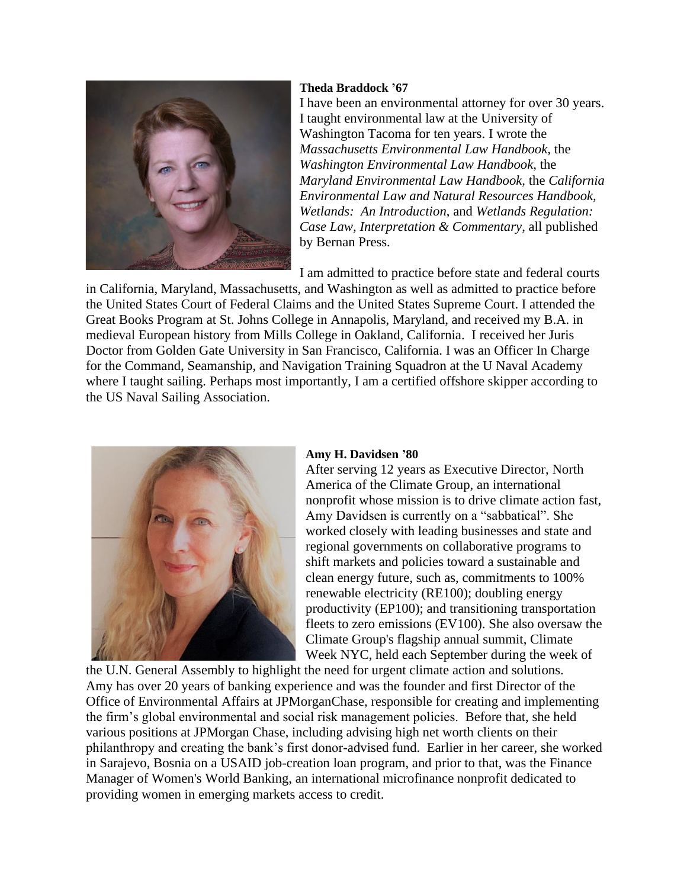

## **Theda Braddock '67**

I have been an environmental attorney for over 30 years. I taught environmental law at the University of Washington Tacoma for ten years. I wrote the *Massachusetts Environmental Law Handbook,* the *Washington Environmental Law Handbook*, the *Maryland Environmental Law Handbook,* the *California Environmental Law and Natural Resources Handbook, Wetlands: An Introduction*, and *Wetlands Regulation: Case Law, Interpretation & Commentary*, all published by Bernan Press.

I am admitted to practice before state and federal courts

in California, Maryland, Massachusetts, and Washington as well as admitted to practice before the United States Court of Federal Claims and the United States Supreme Court. I attended the Great Books Program at St. Johns College in Annapolis, Maryland, and received my B.A. in medieval European history from Mills College in Oakland, California. I received her Juris Doctor from Golden Gate University in San Francisco, California. I was an Officer In Charge for the Command, Seamanship, and Navigation Training Squadron at the U Naval Academy where I taught sailing. Perhaps most importantly, I am a certified offshore skipper according to the US Naval Sailing Association.



## **Amy H. Davidsen '80**

After serving 12 years as Executive Director, North America of the Climate Group, an international nonprofit whose mission is to drive climate action fast, Amy Davidsen is currently on a "sabbatical". She worked closely with leading businesses and state and regional governments on collaborative programs to shift markets and policies toward a sustainable and clean energy future, such as, commitments to 100% renewable electricity (RE100); doubling energy productivity (EP100); and transitioning transportation fleets to zero emissions (EV100). She also oversaw the Climate Group's flagship annual summit, Climate Week NYC, held each September during the week of

the U.N. General Assembly to highlight the need for urgent climate action and solutions. Amy has over 20 years of banking experience and was the founder and first Director of the Office of Environmental Affairs at JPMorganChase, responsible for creating and implementing the firm's global environmental and social risk management policies. Before that, she held various positions at JPMorgan Chase, including advising high net worth clients on their philanthropy and creating the bank's first donor-advised fund. Earlier in her career, she worked in Sarajevo, Bosnia on a USAID job-creation loan program, and prior to that, was the Finance Manager of Women's World Banking, an international microfinance nonprofit dedicated to providing women in emerging markets access to credit.